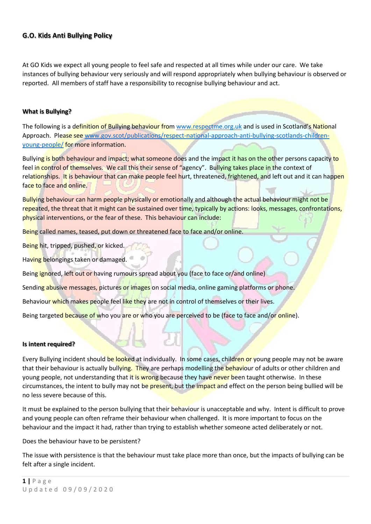## **G.O. Kids Anti Bullying Policy**

At GO Kids we expect all young people to feel safe and respected at all times while under our care. We take instances of bullying behaviour very seriously and will respond appropriately when bullying behaviour is observed or reported. All members of staff have a responsibility to recognise bullying behaviour and act.

#### **What is Bullying?**

The following is a definition of Bullying behaviour from [www.respectme.org.uk](http://www.respectme.org.uk/) and is used in Scotland's National Approach. Please see [www.gov.scot/publications/respect-national-approach-anti-bullying-scotlands-children](http://www.gov.scot/publications/respect-national-approach-anti-bullying-scotlands-children-young-people/)[young-people/](http://www.gov.scot/publications/respect-national-approach-anti-bullying-scotlands-children-young-people/) for more information.

Bullying is both behaviour and impact; what someone does and the impact it has on the other persons capacity to feel in control of themselves. We call this their sense of "agency". Bullying takes place in the context of relationships. It is behaviour that can make people feel hurt, threatened, frightened, and left out and it can happen face to face and online.

Bullying behaviour can harm people physically or emotionally and although the actual behaviour might not be repeated, the threat that it might can be sustained over time, typically by actions: looks, messages, confrontations, physical interventions, or the fear of these. This behaviour can include:

Being called names, teased, put down or threatened face to face and/or online.

Being hit, tripped, pushed, or kicked.

Having belongings taken or damaged.

Being ignored, left out or having rumours spread about you (face to face or/and online)

Sending abusive messages, pictures or images on social media, online gaming platforms or phone.

Behaviour which makes people feel like they are not in control of themselves or their lives.

Being targeted because of who you are or who you are perceived to be (face to face and/or online).

#### **Is intent required?**

Every Bullying incident should be looked at individually. In some cases, children or young people may not be aware that their behaviour is actually bullying. They are perhaps modelling the behaviour of adults or other children and young people, not understanding that it is wrong because they have never been taught otherwise. In these circumstances, the intent to bully may not be present, but the impact and effect on the person being bullied will be no less severe because of this.

It must be explained to the person bullying that their behaviour is unacceptable and why. Intent is difficult to prove and young people can often reframe their behaviour when challenged. It is more important to focus on the behaviour and the impact it had, rather than trying to establish whether someone acted deliberately or not.

Does the behaviour have to be persistent?

The issue with persistence is that the behaviour must take place more than once, but the impacts of bullying can be felt after a single incident.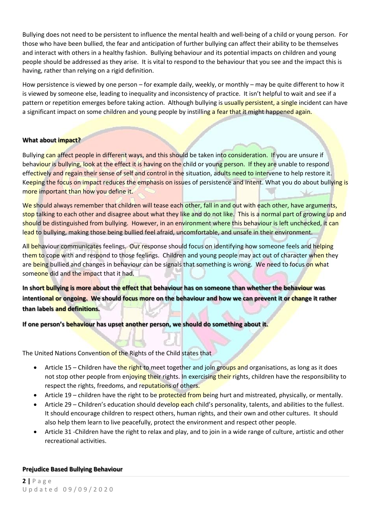Bullying does not need to be persistent to influence the mental health and well-being of a child or young person. For those who have been bullied, the fear and anticipation of further bullying can affect their ability to be themselves and interact with others in a healthy fashion. Bullying behaviour and its potential impacts on children and young people should be addressed as they arise. It is vital to respond to the behaviour that you see and the impact this is having, rather than relying on a rigid definition.

How persistence is viewed by one person – for example daily, weekly, or monthly – may be quite different to how it is viewed by someone else, leading to inequality and inconsistency of practice. It isn't helpful to wait and see if a pattern or repetition emerges before taking action. Although bullying is usually persistent, a single incident can have a significant impact on some children and young people by instilling a fear that it might happened again.

### **What about impact?**

Bullying can affect people in different ways, and this should be taken into consideration. If you are unsure if behaviour is bullying, look at the effect it is having on the child or young person. If they are unable to respond effectively and regain their sense of self and control in the situation, adults need to intervene to help restore it. Keeping the focus on impact reduces the emphasis on issues of persistence and intent. What you do about bullying is more important than how you define it.

We should always remember that children will tease each other, fall in and out with each other, have arguments, stop talking to each other and disagree about what they like and do not like. This is a normal part of growing up and should be distinguished from bullying. However, in an environment where this behaviour is left unchecked, it can lead to bullying, making those being bullied feel afraid, uncomfortable, and unsafe in their environment.

All behaviour communicates feelings. Our response should focus on identifying how someone feels and helping them to cope with and respond to those feelings. Children and young people may act out of character when they are being bullied and changes in behaviour can be signals that something is wrong. We need to focus on what someone did and the impact that it had.

**In short bullying is more about the effect that behaviour has on someone than whether the behaviour was intentional or ongoing. We should focus more on the behaviour and how we can prevent it or change it rather than labels and definitions.**

**If one person's behaviour has upset another person, we should do something about it.**

The United Nations Convention of the Rights of the Child states that

- Article 15 Children have the right to meet together and join groups and organisations, as long as it does not stop other people from enjoying their rights. In exercising their rights, children have the responsibility to respect the rights, freedoms, and reputations of others.
- Article 19 children have the right to be **protected from being** hurt and mistreated, physically, or mentally.
- Article 29 Children's education should develop each child's personality, talents, and abilities to the fullest. It should encourage children to respect others, human rights, and their own and other cultures. It should also help them learn to live peacefully, protect the environment and respect other people.
- Article 31 -Children have the right to relax and play, and to join in a wide range of culture, artistic and other recreational activities.

### **Prejudice Based Bullying Behaviour**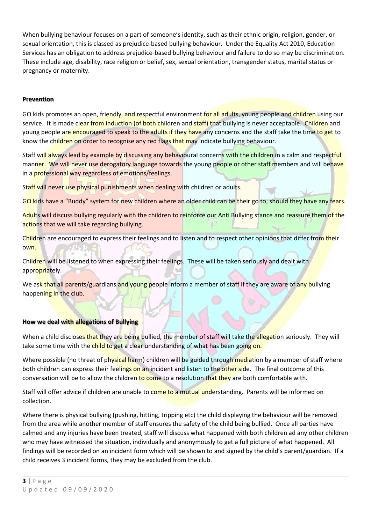When bullying behaviour focuses on a part of someone's identity, such as their ethnic origin, religion, gender, or sexual orientation, this is classed as prejudice-based bullying behaviour. Under the Equality Act 2010, Education Services has an obligation to address prejudice-based bullying behaviour and failure to do so may be discrimination. These include age, disability, race religion or belief, sex, sexual orientation, transgender status, marital status or pregnancy or maternity.

### **Prevention**

GO kids promotes an open, friendly, and respectful environment for all adults, young people and children using our service. It is made clear from induction (of both children and staff) that bullying is never acceptable. Children and young people are encouraged to speak to the adults if they have any concerns and the staff take the time to get to know the children on order to recognise any red flags that may indicate bullying behaviour.

Staff will always lead by example by discussing any behavioural concerns with the children in a calm and respectful manner. We will never use derogatory language towards the young people or other staff members and will behave in a **professional way regardless of emotions/feelings.** 

Staff will never use physical punishments when dealing with children or adults.

GO kids have a "Buddy" system for new children where an older child can be their go to, should they have any fears.

Adults will discuss bullying regularly with the children to reinforce our Anti Bullying stance and reassure them of the actions that we will take regarding bullying.

Children are encouraged to express their feelings and to listen and to respect other opinions that differ from their own.

Children will be listened to when expressing their feelings. These will be taken seriously and dealt with appropriately.

We ask that all parents/guardians and young people inform a member of staff if they are aware of any bullying happening in the club.

### **How we deal with allegations of Bullying**

When a child discloses that they are being bullied, the member of staff will take the allegation seriously. They will take some time with the child to get a clear understanding of what has been going on.

Where possible (no threat of physical harm) children will be guided through mediation by a member of staff where both children can express their feelings on an incident and listen to the other side. The final outcome of this conversation will be to allow the children to come to a resolution that they are both comfortable with.

Staff will offer advice if children are unable to come to a mutual understanding. Parents will be informed on collection.

Where there is physical bullying (pushing, hitting, tripping etc) the child displaying the behaviour will be removed from the area while another member of staff ensures the safety of the child being bullied. Once all parties have calmed and any injuries have been treated, staff will discuss what happened with both children ad any other children who may have witnessed the situation, individually and anonymously to get a full picture of what happened. All findings will be recorded on an incident form which will be shown to and signed by the child's parent/guardian. If a child receives 3 incident forms, they may be excluded from the club.